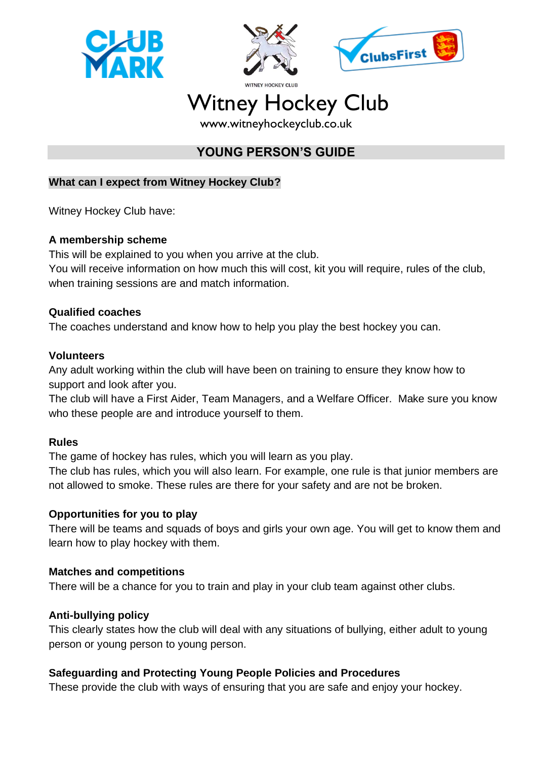





# Witney Hockey Club

www.witneyhockeyclub.co.uk

## **YOUNG PERSON'S GUIDE**

## **What can I expect from Witney Hockey Club?**

Witney Hockey Club have:

## **A membership scheme**

This will be explained to you when you arrive at the club.

You will receive information on how much this will cost, kit you will require, rules of the club, when training sessions are and match information.

## **Qualified coaches**

The coaches understand and know how to help you play the best hockey you can.

## **Volunteers**

Any adult working within the club will have been on training to ensure they know how to support and look after you.

The club will have a First Aider, Team Managers, and a Welfare Officer. Make sure you know who these people are and introduce yourself to them.

## **Rules**

The game of hockey has rules, which you will learn as you play.

The club has rules, which you will also learn. For example, one rule is that junior members are not allowed to smoke. These rules are there for your safety and are not be broken.

## **Opportunities for you to play**

There will be teams and squads of boys and girls your own age. You will get to know them and learn how to play hockey with them.

## **Matches and competitions**

There will be a chance for you to train and play in your club team against other clubs.

## **Anti-bullying policy**

This clearly states how the club will deal with any situations of bullying, either adult to young person or young person to young person.

## **Safeguarding and Protecting Young People Policies and Procedures**

These provide the club with ways of ensuring that you are safe and enjoy your hockey.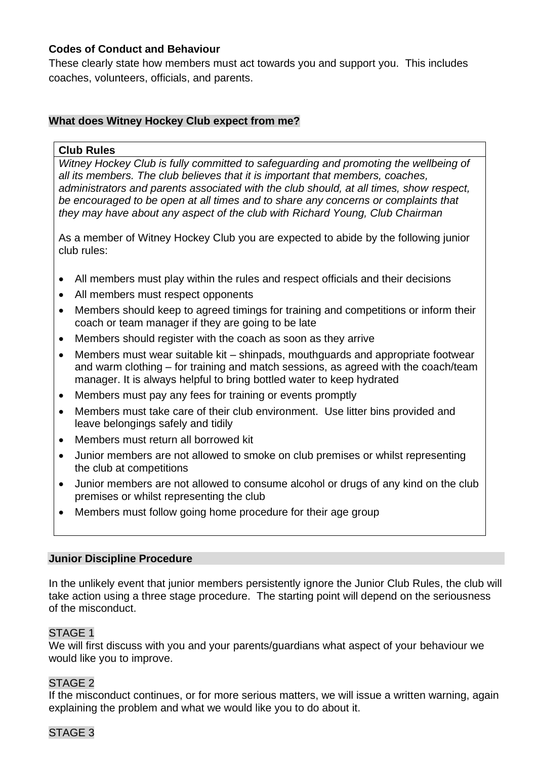#### **Codes of Conduct and Behaviour**

These clearly state how members must act towards you and support you. This includes coaches, volunteers, officials, and parents.

## **What does Witney Hockey Club expect from me?**

#### **Club Rules**

*Witney Hockey Club is fully committed to safeguarding and promoting the wellbeing of all its members. The club believes that it is important that members, coaches, administrators and parents associated with the club should, at all times, show respect, be encouraged to be open at all times and to share any concerns or complaints that they may have about any aspect of the club with Richard Young, Club Chairman*

As a member of Witney Hockey Club you are expected to abide by the following junior club rules:

- All members must play within the rules and respect officials and their decisions
- All members must respect opponents
- Members should keep to agreed timings for training and competitions or inform their coach or team manager if they are going to be late
- Members should register with the coach as soon as they arrive
- Members must wear suitable kit shinpads, mouthguards and appropriate footwear and warm clothing – for training and match sessions, as agreed with the coach/team manager. It is always helpful to bring bottled water to keep hydrated
- Members must pay any fees for training or events promptly
- Members must take care of their club environment. Use litter bins provided and leave belongings safely and tidily
- Members must return all borrowed kit
- Junior members are not allowed to smoke on club premises or whilst representing the club at competitions
- Junior members are not allowed to consume alcohol or drugs of any kind on the club premises or whilst representing the club
- Members must follow going home procedure for their age group

#### **Junior Discipline Procedure**

In the unlikely event that junior members persistently ignore the Junior Club Rules, the club will take action using a three stage procedure. The starting point will depend on the seriousness of the misconduct.

#### STAGE 1

We will first discuss with you and your parents/guardians what aspect of your behaviour we would like you to improve.

#### STAGE 2

If the misconduct continues, or for more serious matters, we will issue a written warning, again explaining the problem and what we would like you to do about it.

#### STAGE 3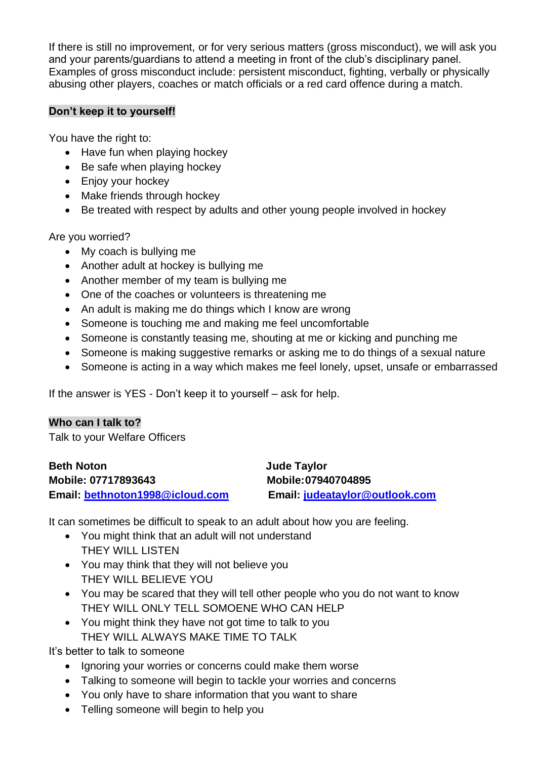If there is still no improvement, or for very serious matters (gross misconduct), we will ask you and your parents/guardians to attend a meeting in front of the club's disciplinary panel. Examples of gross misconduct include: persistent misconduct, fighting, verbally or physically abusing other players, coaches or match officials or a red card offence during a match.

#### **Don't keep it to yourself!**

You have the right to:

- Have fun when playing hockey
- Be safe when playing hockey
- Enjoy your hockey
- Make friends through hockey
- Be treated with respect by adults and other young people involved in hockey

Are you worried?

- My coach is bullying me
- Another adult at hockey is bullying me
- Another member of my team is bullying me
- One of the coaches or volunteers is threatening me
- An adult is making me do things which I know are wrong
- Someone is touching me and making me feel uncomfortable
- Someone is constantly teasing me, shouting at me or kicking and punching me
- Someone is making suggestive remarks or asking me to do things of a sexual nature
- Someone is acting in a way which makes me feel lonely, upset, unsafe or embarrassed

If the answer is YES - Don't keep it to yourself – ask for help.

## **Who can I talk to?**

Talk to your Welfare Officers

| <b>Beth Noton</b>               | Jude Taylor                    |
|---------------------------------|--------------------------------|
| Mobile: 07717893643             | Mobile: 07940704895            |
| Email: bethnoton1998@icloud.com | Email: judeataylor@outlook.com |

It can sometimes be difficult to speak to an adult about how you are feeling.

- You might think that an adult will not understand THEY WILL LISTEN
- You may think that they will not believe you THEY WILL BELIEVE YOU
- You may be scared that they will tell other people who you do not want to know THEY WILL ONLY TELL SOMOENE WHO CAN HELP
- You might think they have not got time to talk to you THEY WILL ALWAYS MAKE TIME TO TALK

It's better to talk to someone

- Ignoring your worries or concerns could make them worse
- Talking to someone will begin to tackle your worries and concerns
- You only have to share information that you want to share
- Telling someone will begin to help you